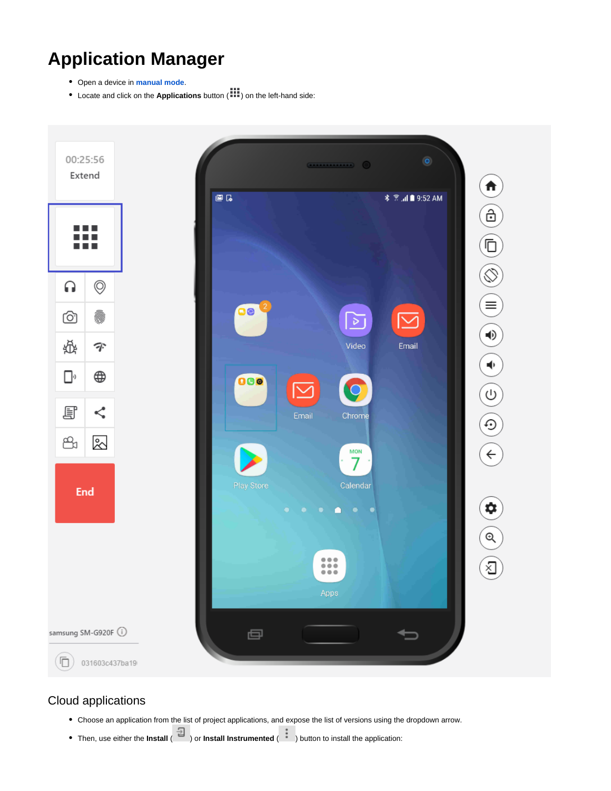# **Application Manager**

- Open a device in **[manual mode](https://docs.experitest.com/display/LT/Mobile+Manual+Testing)**.
- Locate and click on the **Applications** button ( ) on the left-hand side:



## Cloud applications

- Choose an application from the list of project applications, and expose the list of versions using the dropdown arrow.
- Then, use either the **Install**  $\begin{bmatrix} \pm \\ \pm \end{bmatrix}$  or **Install Instrumented** (  $\begin{bmatrix} 1 & 1 \\ 1 & 1 \end{bmatrix}$  button to install the application: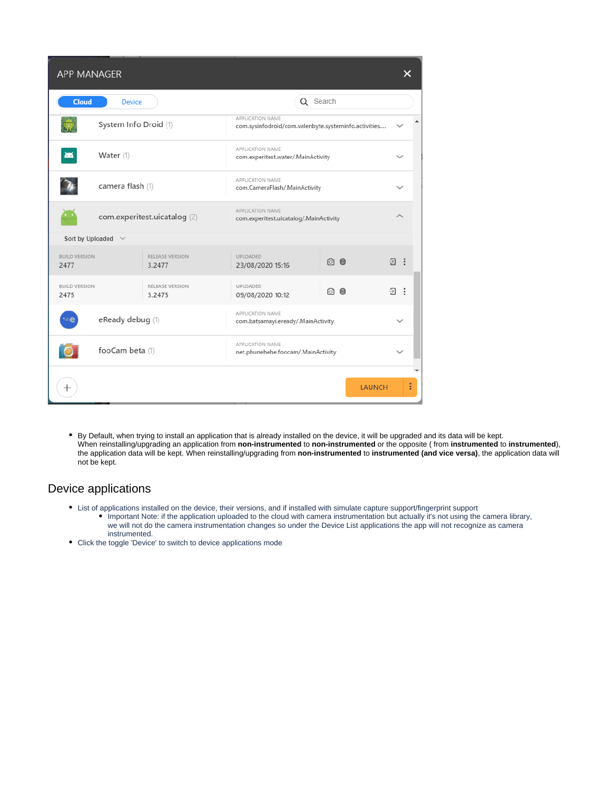| <b>APP MANAGER</b>           |                       |                              |                                                                          |               |            |  |
|------------------------------|-----------------------|------------------------------|--------------------------------------------------------------------------|---------------|------------|--|
| <b>Cloud</b>                 | <b>Device</b>         |                              | Q Search                                                                 |               |            |  |
|                              | System Info Droid (1) |                              | APPLICATION NAME<br>com.sysinfodroid/com.valenbyte.systeminfo.activities |               |            |  |
| <b>XIX</b>                   | Water (1)             |                              | APPLICATION NAME<br>com.experitest.water/.MainActivity                   |               |            |  |
|                              | camera flash (1)      |                              | APPLICATION NAME<br>com.CameraFlash/.MainActivity                        |               |            |  |
|                              |                       | com.experitest.uicatalog (2) | APPLICATION NAME<br>com.experitest.uicatalog/.MainActivity               |               |            |  |
| Sort by Uploaded             | $\checkmark$          |                              |                                                                          |               |            |  |
| <b>BUILD VERSION</b><br>2477 |                       | RELEASE VERSION<br>3.2477    | UPLOADED<br>23/08/2020 15:16                                             | 问 ◉           | 日:         |  |
| <b>BUILD VERSION</b><br>2475 |                       | RELEASE VERSION<br>3.2475    | UPLOADED<br>09/08/2020 10:12                                             | ा<br>- 0      | <b>Đ :</b> |  |
|                              | eReady debug (1)      |                              | APPLICATION NAME<br>com.batsamayi.eready/.MainActivity                   |               |            |  |
|                              | fooCam beta (1)       |                              | APPLICATION NAME<br>net.phunehehe.foocam/.MainActivity                   |               |            |  |
|                              |                       |                              |                                                                          |               |            |  |
| $^+$                         |                       |                              |                                                                          | <b>LAUNCH</b> |            |  |

By Default, when trying to install an application that is already installed on the device, it will be upgraded and its data will be kept. When reinstalling/upgrading an application from **non-instrumented** to **non-instrumented** or the opposite ( from **instrumented** to **instrumented**), the application data will be kept. When reinstalling/upgrading from **non-instrumented** to **instrumented (and vice versa)**, the application data will not be kept.

#### Device applications

- List of applications installed on the device, their versions, and if installed with simulate capture support/fingerprint support Important Note: if the application uploaded to the cloud with camera instrumentation but actually it's not using the camera library, we will not do the camera instrumentation changes so under the Device List applications the app will not recognize as camera instrumented.
- Click the toggle 'Device' to switch to device applications mode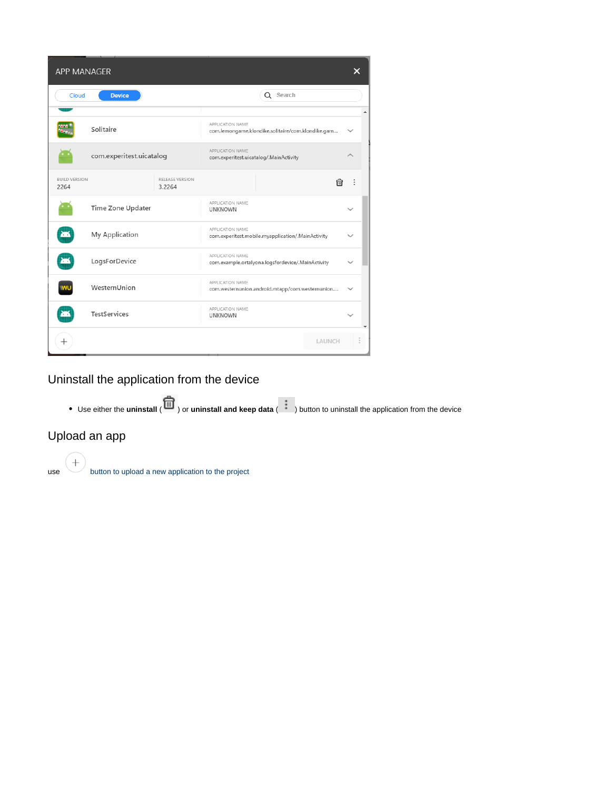| APP MANAGER                  |                          |                           |                                                                       |        | × |  |
|------------------------------|--------------------------|---------------------------|-----------------------------------------------------------------------|--------|---|--|
| Cloud                        | <b>Device</b>            |                           | Q Search                                                              |        |   |  |
|                              | Solitaire                |                           | APPLICATION NAME<br>com.lemongame.klondike.solitaire/com.klondike.gam |        |   |  |
|                              | com.experitest.uicatalog |                           | APPLICATION NAME<br>com.experitest.uicatalog/.MainActivity            |        |   |  |
| <b>BUILD VERSION</b><br>2264 |                          | RELEASE VERSION<br>3.2264 |                                                                       | ⋒      | ÷ |  |
|                              | Time Zone Updater        |                           | APPLICATION NAME<br><b>UNKNOWN</b>                                    |        |   |  |
| ┻                            | My Application           |                           | APPLICATION NAME<br>com.experitest.mobile.myapplication/.MainActivity |        |   |  |
| æ                            | LogsForDevice            |                           | APPLICATION NAME<br>com.example.ortalyona.logsfordevice/.MainActivity |        |   |  |
| WU                           | WesternUnion             |                           | APPLICATION NAME<br>com.westernunion.android.mtapp/com.westernunion   |        |   |  |
| ┻                            | <b>TestServices</b>      |                           | APPLICATION NAME<br><b>UNKNOWN</b>                                    |        |   |  |
| $^+$                         |                          |                           |                                                                       | LAUNCH |   |  |

Uninstall the application from the device

● Use either the **uninstall** (  $\overline{1}$  ) or **uninstall and keep data** (  $\bullet$  ) button to uninstall the application from the device

### Upload an app

 $\begin{pmatrix} + \end{pmatrix}$  button to upload a new application to the project